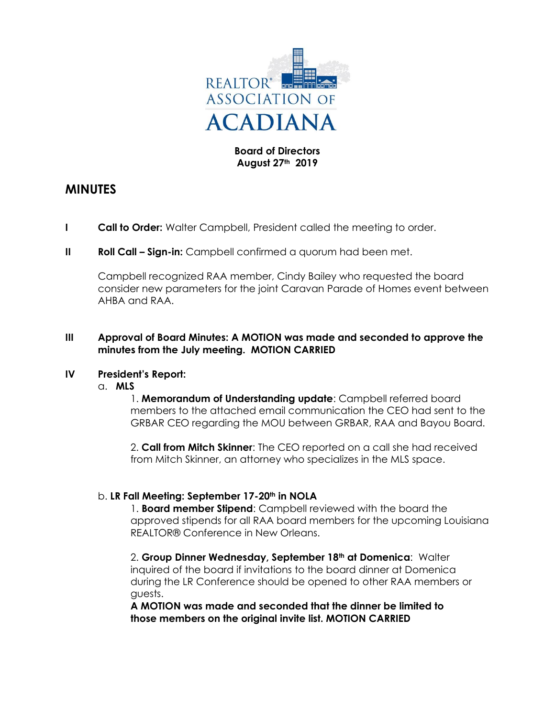

## **Board of Directors August 27th 2019**

# **MINUTES**

- **I Call to Order:** Walter Campbell, President called the meeting to order.
- **II Roll Call Sign-in:** Campbell confirmed a quorum had been met.

Campbell recognized RAA member, Cindy Bailey who requested the board consider new parameters for the joint Caravan Parade of Homes event between AHBA and RAA.

## **III Approval of Board Minutes: A MOTION was made and seconded to approve the minutes from the July meeting. MOTION CARRIED**

## **IV President's Report:**

a. **MLS**

1. **Memorandum of Understanding update**: Campbell referred board members to the attached email communication the CEO had sent to the GRBAR CEO regarding the MOU between GRBAR, RAA and Bayou Board.

2. **Call from Mitch Skinner**: The CEO reported on a call she had received from Mitch Skinner, an attorney who specializes in the MLS space.

## b. **LR Fall Meeting: September 17-20th in NOLA**

1. **Board member Stipend**: Campbell reviewed with the board the approved stipends for all RAA board members for the upcoming Louisiana REALTOR® Conference in New Orleans.

2. **Group Dinner Wednesday, September 18th at Domenica**: Walter inquired of the board if invitations to the board dinner at Domenica during the LR Conference should be opened to other RAA members or guests.

**A MOTION was made and seconded that the dinner be limited to those members on the original invite list. MOTION CARRIED**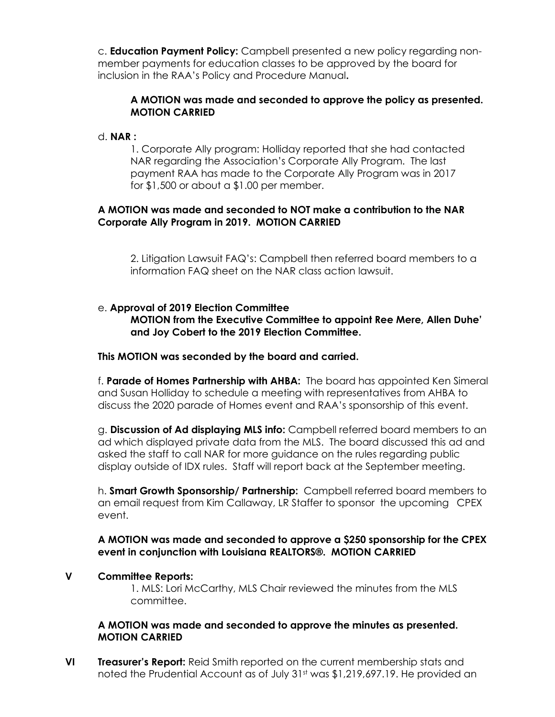c. **Education Payment Policy:** Campbell presented a new policy regarding nonmember payments for education classes to be approved by the board for inclusion in the RAA's Policy and Procedure Manual**.**

# **A MOTION was made and seconded to approve the policy as presented. MOTION CARRIED**

## d. **NAR :**

1. Corporate Ally program: Holliday reported that she had contacted NAR regarding the Association's Corporate Ally Program. The last payment RAA has made to the Corporate Ally Program was in 2017 for \$1,500 or about a \$1.00 per member.

## **A MOTION was made and seconded to NOT make a contribution to the NAR Corporate Ally Program in 2019. MOTION CARRIED**

2. Litigation Lawsuit FAQ's: Campbell then referred board members to a information FAQ sheet on the NAR class action lawsuit.

## e. **Approval of 2019 Election Committee**

**MOTION from the Executive Committee to appoint Ree Mere, Allen Duhe' and Joy Cobert to the 2019 Election Committee.** 

## **This MOTION was seconded by the board and carried.**

f. **Parade of Homes Partnership with AHBA:** The board has appointed Ken Simeral and Susan Holliday to schedule a meeting with representatives from AHBA to discuss the 2020 parade of Homes event and RAA's sponsorship of this event.

g. **Discussion of Ad displaying MLS info:** Campbell referred board members to an ad which displayed private data from the MLS. The board discussed this ad and asked the staff to call NAR for more guidance on the rules regarding public display outside of IDX rules. Staff will report back at the September meeting.

h. **Smart Growth Sponsorship/ Partnership:** Campbell referred board members to an email request from Kim Callaway, LR Staffer to sponsor the upcoming CPEX event.

## **A MOTION was made and seconded to approve a \$250 sponsorship for the CPEX event in conjunction with Louisiana REALTORS®. MOTION CARRIED**

## **V Committee Reports:**

1. MLS: Lori McCarthy, MLS Chair reviewed the minutes from the MLS committee.

## **A MOTION was made and seconded to approve the minutes as presented. MOTION CARRIED**

**VI Treasurer's Report:** Reid Smith reported on the current membership stats and noted the Prudential Account as of July 31<sup>st</sup> was \$1,219,697.19. He provided an